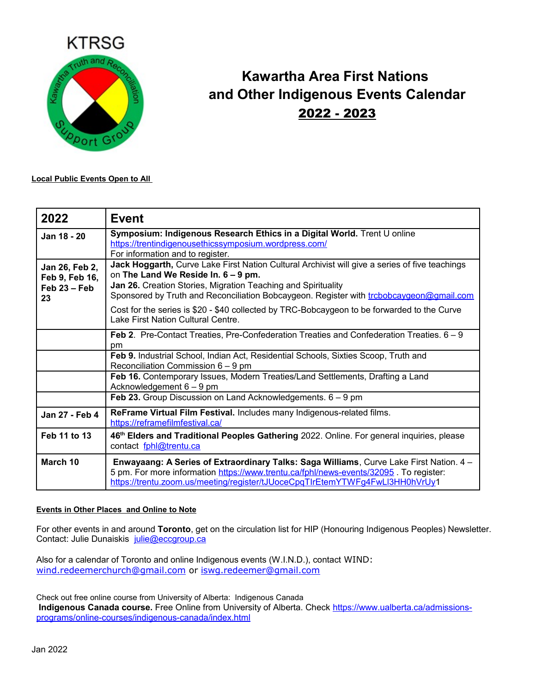

## **Kawartha Area First Nations and Other Indigenous Events Calendar** 2022 - 2023

**Local Public Events Open to All** 

| 2022                                                     | <b>Event</b>                                                                                                                                                                                                                                                                                      |
|----------------------------------------------------------|---------------------------------------------------------------------------------------------------------------------------------------------------------------------------------------------------------------------------------------------------------------------------------------------------|
| Jan 18 - 20                                              | Symposium: Indigenous Research Ethics in a Digital World. Trent U online<br>https://trentindigenousethicssymposium.wordpress.com/<br>For information and to register.                                                                                                                             |
| Jan 26, Feb 2,<br>Feb 9, Feb 16,<br>$Feb 23 - Feb$<br>23 | Jack Hoggarth, Curve Lake First Nation Cultural Archivist will give a series of five teachings<br>on The Land We Reside In. 6 - 9 pm.<br>Jan 26. Creation Stories, Migration Teaching and Spirituality<br>Sponsored by Truth and Reconciliation Bobcaygeon. Register with trobobcaygeon@gmail.com |
|                                                          | Cost for the series is \$20 - \$40 collected by TRC-Bobcaygeon to be forwarded to the Curve<br>Lake First Nation Cultural Centre.                                                                                                                                                                 |
|                                                          | Feb 2. Pre-Contact Treaties, Pre-Confederation Treaties and Confederation Treaties. 6 – 9<br>pm                                                                                                                                                                                                   |
|                                                          | Feb 9. Industrial School, Indian Act, Residential Schools, Sixties Scoop, Truth and<br>Reconciliation Commission $6 - 9$ pm                                                                                                                                                                       |
|                                                          | Feb 16. Contemporary Issues, Modern Treaties/Land Settlements, Drafting a Land<br>Acknowledgement $6 - 9$ pm                                                                                                                                                                                      |
|                                                          | <b>Feb 23.</b> Group Discussion on Land Acknowledgements. $6 - 9$ pm                                                                                                                                                                                                                              |
| Jan 27 - Feb 4                                           | ReFrame Virtual Film Festival. Includes many Indigenous-related films.<br>https://reframefilmfestival.ca/                                                                                                                                                                                         |
| Feb 11 to 13                                             | 46th Elders and Traditional Peoples Gathering 2022. Online. For general inquiries, please<br>contact fphl@trentu.ca                                                                                                                                                                               |
| March 10                                                 | Enwayaang: A Series of Extraordinary Talks: Saga Williams, Curve Lake First Nation. 4 -<br>5 pm. For more information https://www.trentu.ca/fphl/news-events/32095 . To register:<br>https://trentu.zoom.us/meeting/register/tJUoceCpqTIrEtemYTWFg4FwLl3HH0hVrUy1                                 |

## **Events in Other Places and Online to Note**

For other events in and around **Toronto**, get on the circulation list for HIP (Honouring Indigenous Peoples) Newsletter. Contact: Julie Dunaiskis julie@eccgroup.ca

Also for a calendar of Toronto and online Indigenous events (W.I.N.D.), contact WIND: [wind.redeemerchurch@gmail.com](mailto:wind.redeemerchurch@gmail.com) or [iswg.redeemer@gmail.com](mailto:iswg.redeemer@gmail.com)

Check out free online course from University of Alberta: Indigenous Canada  **Indigenous Canada course.** Free Online from University of Alberta. Check [https://www.ualberta.ca/admissions](https://www.ualberta.ca/admissions-programs/online-courses/indigenous-canada/index.html)[programs/online-courses/indigenous-canada/index.html](https://www.ualberta.ca/admissions-programs/online-courses/indigenous-canada/index.html)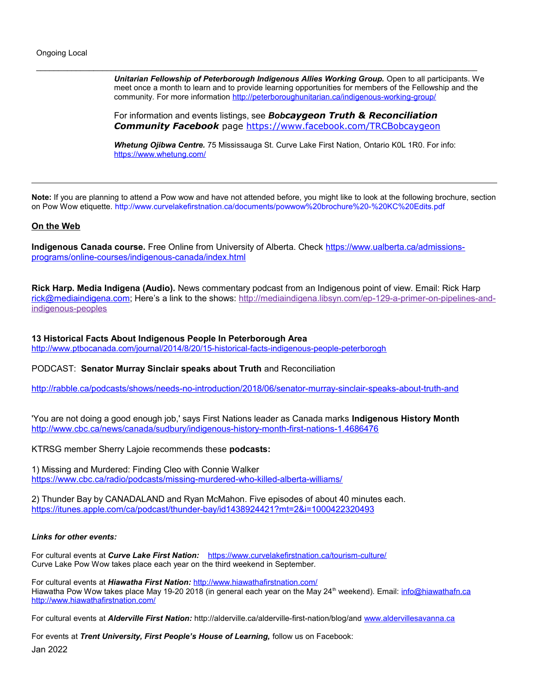Ongoing Local

*Unitarian Fellowship of Peterborough Indigenous Allies Working Group.* Open to all participants. We meet once a month to learn and to provide learning opportunities for members of the Fellowship and the community. For more information<http://peterboroughunitarian.ca/indigenous-working-group/>

For information and events listings, see *Bobcaygeon Truth & Reconciliation Community Facebook* page <https://www.facebook.com/TRCBobcaygeon>

 $\bot$  , and the state of the state of the state of the state of the state of the state of the state of the state of the state of the state of the state of the state of the state of the state of the state of the state of th

*Whetung Ojibwa Centre.* 75 Mississauga St. Curve Lake First Nation, Ontario K0L 1R0. For info: <https://www.whetung.com/>

**Note:** If you are planning to attend a Pow wow and have not attended before, you might like to look at the following brochure, section on Pow Wow etiquette.<http://www.curvelakefirstnation.ca/documents/powwow%20brochure%20-%20KC%20Edits.pdf>

## **On the Web**

**Indigenous Canada course.** Free Online from University of Alberta. Check [https://www.ualberta.ca/admissions](https://www.ualberta.ca/admissions-programs/online-courses/indigenous-canada/index.html)[programs/online-courses/indigenous-canada/index.html](https://www.ualberta.ca/admissions-programs/online-courses/indigenous-canada/index.html)

**Rick Harp. Media Indigena (Audio).** News commentary podcast from an Indigenous point of view. Email: Rick Harp [rick@mediaindigena.com;](mailto:rick@mediaindigena.com) Here's a link to the shows: [http://mediaindigena.libsyn.com/ep-129-a-primer-on-pipelines-and](https://mediaindigena.us2.list-manage.com/track/click?u=bfa2969187897098fe0e89723&id=c340b735d1&e=16899431dc)[indigenous-peoples](https://mediaindigena.us2.list-manage.com/track/click?u=bfa2969187897098fe0e89723&id=c340b735d1&e=16899431dc)

**13 Historical Facts About Indigenous People In Peterborough Area**

<http://www.ptbocanada.com/journal/2014/8/20/15-historical-facts-indigenous-people-peterborogh>

PODCAST: **Senator Murray Sinclair speaks about Truth** and Reconciliation

<http://rabble.ca/podcasts/shows/needs-no-introduction/2018/06/senator-murray-sinclair-speaks-about-truth-and>

'You are not doing a good enough job,' says First Nations leader as Canada marks **Indigenous History Month** <http://www.cbc.ca/news/canada/sudbury/indigenous-history-month-first-nations-1.4686476>

KTRSG member Sherry Lajoie recommends these **podcasts:**

1) Missing and Murdered: Finding Cleo with Connie Walker <https://www.cbc.ca/radio/podcasts/missing-murdered-who-killed-alberta-williams/>

2) Thunder Bay by CANADALAND and Ryan McMahon. Five episodes of about 40 minutes each. <https://itunes.apple.com/ca/podcast/thunder-bay/id1438924421?mt=2&i=1000422320493>

## *Links for other events:*

For cultural events at *Curve Lake First Nation:* <https://www.curvelakefirstnation.ca/tourism-culture/> Curve Lake Pow Wow takes place each year on the third weekend in September.

For cultural events at *Hiawatha First Nation:* <http://www.hiawathafirstnation.com/> Hiawatha Pow Wow takes place May 19-20 2018 (in general each year on the May 24<sup>th</sup> weekend). Email: info@hiawathafn.ca <http://www.hiawathafirstnation.com/>

For cultural events at *Alderville First Nation:* http://alderville.ca/alderville-first-nation/blog/and [www.aldervillesavanna.ca](http://www.aldervillesavanna.ca/)

For events at *Trent University, First People's House of Learning,* follow us on Facebook: Jan 2022